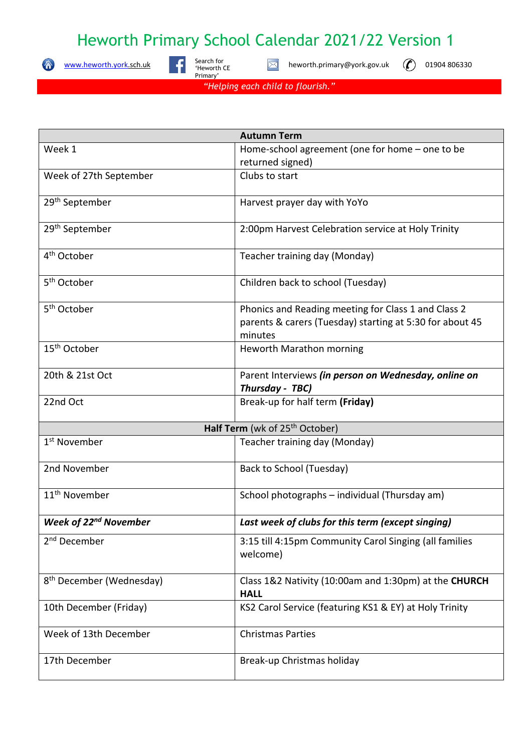## Heworth Primary School Calendar 2021/22 Version 1

 $\bullet$ 

[www.heworth.york.](http://www.heworth.york/)sch.uk Search



Search for<br>'Heworth CE Primary'

 $\boxtimes$ heworth.primary@york.gov.uk  $\left(\bigcap_{n=1}^{\infty}\right)$  01904 806330

*"Helping each child to flourish."*

| <b>Autumn Term</b>                         |                                                                      |
|--------------------------------------------|----------------------------------------------------------------------|
| Week 1                                     | Home-school agreement (one for home - one to be                      |
|                                            | returned signed)                                                     |
| Week of 27th September                     | Clubs to start                                                       |
| 29 <sup>th</sup> September                 | Harvest prayer day with YoYo                                         |
| 29 <sup>th</sup> September                 | 2:00pm Harvest Celebration service at Holy Trinity                   |
| 4 <sup>th</sup> October                    | Teacher training day (Monday)                                        |
| 5 <sup>th</sup> October                    | Children back to school (Tuesday)                                    |
| 5 <sup>th</sup> October                    | Phonics and Reading meeting for Class 1 and Class 2                  |
|                                            | parents & carers (Tuesday) starting at 5:30 for about 45<br>minutes  |
| 15 <sup>th</sup> October                   | Heworth Marathon morning                                             |
| 20th & 21st Oct                            | Parent Interviews (in person on Wednesday, online on                 |
|                                            | Thursday - TBC)                                                      |
| 22nd Oct                                   | Break-up for half term (Friday)                                      |
| Half Term (wk of 25 <sup>th</sup> October) |                                                                      |
| 1 <sup>st</sup> November                   | Teacher training day (Monday)                                        |
| 2nd November                               | Back to School (Tuesday)                                             |
| 11 <sup>th</sup> November                  | School photographs - individual (Thursday am)                        |
| <b>Week of 22nd November</b>               | Last week of clubs for this term (except singing)                    |
| 2 <sup>nd</sup> December                   | 3:15 till 4:15pm Community Carol Singing (all families<br>welcome)   |
| 8 <sup>th</sup> December (Wednesday)       | Class 1&2 Nativity (10:00am and 1:30pm) at the CHURCH<br><b>HALL</b> |
| 10th December (Friday)                     | KS2 Carol Service (featuring KS1 & EY) at Holy Trinity               |
| Week of 13th December                      | <b>Christmas Parties</b>                                             |
| 17th December                              | Break-up Christmas holiday                                           |